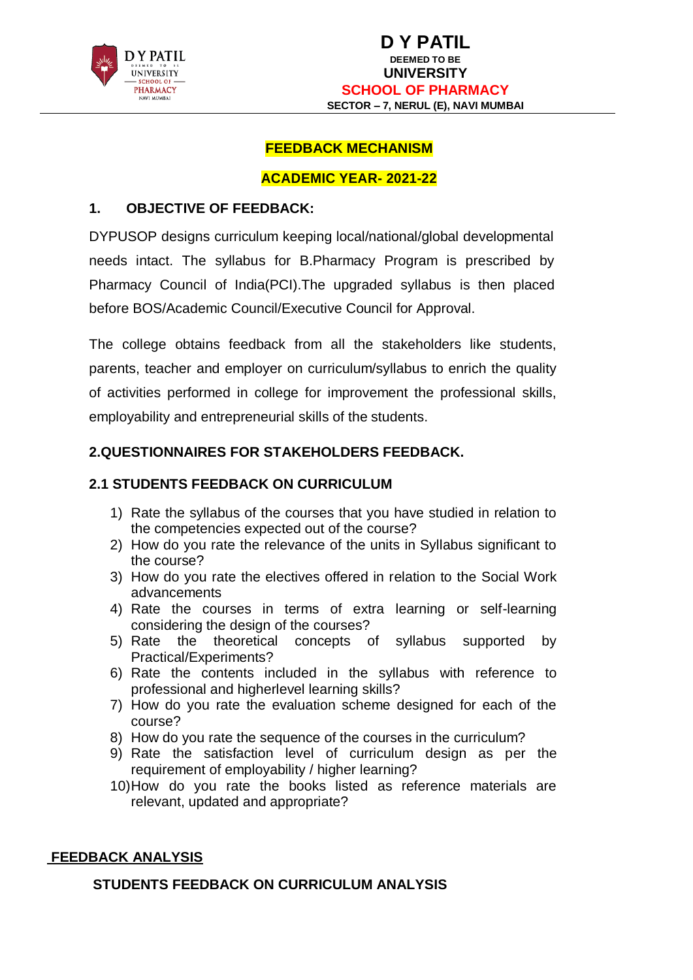

# **FEEDBACK MECHANISM**

#### **ACADEMIC YEAR- 2021-22**

# **1. OBJECTIVE OF FEEDBACK:**

DYPUSOP designs curriculum keeping local/national/global developmental needs intact. The syllabus for B.Pharmacy Program is prescribed by Pharmacy Council of India(PCI).The upgraded syllabus is then placed before BOS/Academic Council/Executive Council for Approval.

The college obtains feedback from all the stakeholders like students, parents, teacher and employer on curriculum/syllabus to enrich the quality of activities performed in college for improvement the professional skills, employability and entrepreneurial skills of the students.

# **2.QUESTIONNAIRES FOR STAKEHOLDERS FEEDBACK.**

# **2.1 STUDENTS FEEDBACK ON CURRICULUM**

- 1) Rate the syllabus of the courses that you have studied in relation to the competencies expected out of the course?
- 2) How do you rate the relevance of the units in Syllabus significant to the course?
- 3) How do you rate the electives offered in relation to the Social Work advancements
- 4) Rate the courses in terms of extra learning or self-learning considering the design of the courses?
- 5) Rate the theoretical concepts of syllabus supported by Practical/Experiments?
- 6) Rate the contents included in the syllabus with reference to professional and higherlevel learning skills?
- 7) How do you rate the evaluation scheme designed for each of the course?
- 8) How do you rate the sequence of the courses in the curriculum?
- 9) Rate the satisfaction level of curriculum design as per the requirement of employability / higher learning?
- 10)How do you rate the books listed as reference materials are relevant, updated and appropriate?

#### **FEEDBACK ANALYSIS**

#### **STUDENTS FEEDBACK ON CURRICULUM ANALYSIS**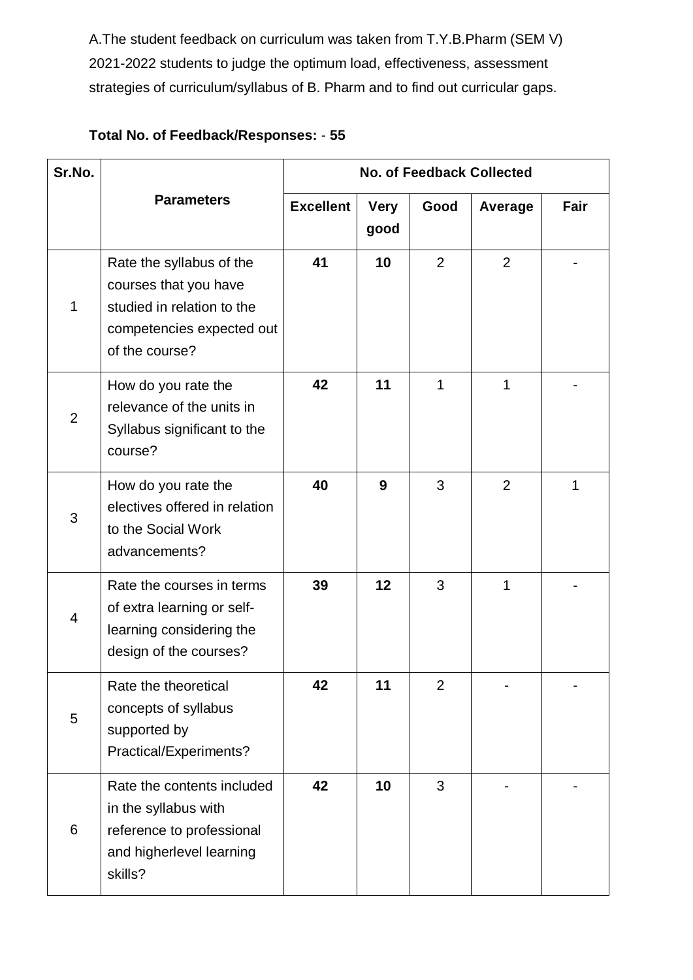A.The student feedback on curriculum was taken from T.Y.B.Pharm (SEM V) 2021-2022 students to judge the optimum load, effectiveness, assessment strategies of curriculum/syllabus of B. Pharm and to find out curricular gaps.

# **Total No. of Feedback/Responses:** - **55**

| Sr.No.         |                                                                                                                                | <b>No. of Feedback Collected</b> |                     |                |                |      |
|----------------|--------------------------------------------------------------------------------------------------------------------------------|----------------------------------|---------------------|----------------|----------------|------|
|                | <b>Parameters</b>                                                                                                              | <b>Excellent</b>                 | <b>Very</b><br>good | Good           | Average        | Fair |
| 1              | Rate the syllabus of the<br>courses that you have<br>studied in relation to the<br>competencies expected out<br>of the course? | 41                               | 10                  | 2              | 2              |      |
| $\overline{2}$ | How do you rate the<br>relevance of the units in<br>Syllabus significant to the<br>course?                                     | 42                               | 11                  | 1              | 1              |      |
| 3              | How do you rate the<br>electives offered in relation<br>to the Social Work<br>advancements?                                    | 40                               | 9                   | 3              | $\overline{2}$ | 1    |
| $\overline{4}$ | Rate the courses in terms<br>of extra learning or self-<br>learning considering the<br>design of the courses?                  | 39                               | 12                  | 3              | 1              |      |
| 5              | Rate the theoretical<br>concepts of syllabus<br>supported by<br>Practical/Experiments?                                         | 42                               | 11                  | $\overline{2}$ |                |      |
| 6              | Rate the contents included<br>in the syllabus with<br>reference to professional<br>and higherlevel learning<br>skills?         | 42                               | 10                  | 3              |                |      |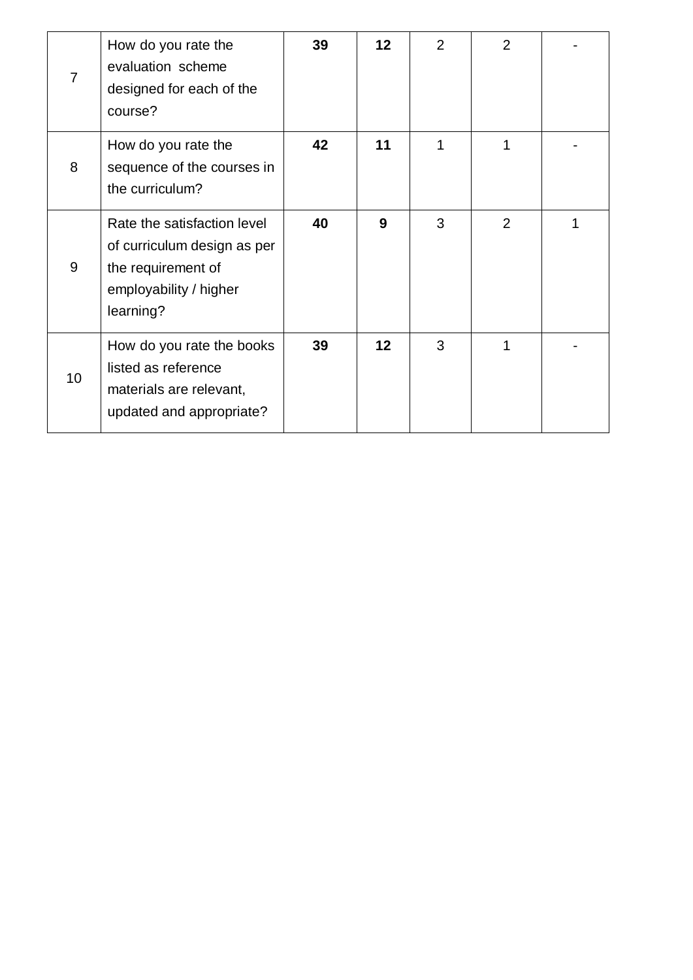| 7  | How do you rate the<br>evaluation scheme<br>designed for each of the<br>course?                                         | 39 | 12 | $\overline{2}$ | $\overline{2}$ |  |
|----|-------------------------------------------------------------------------------------------------------------------------|----|----|----------------|----------------|--|
| 8  | How do you rate the<br>sequence of the courses in<br>the curriculum?                                                    | 42 | 11 | 1              | 1              |  |
| 9  | Rate the satisfaction level<br>of curriculum design as per<br>the requirement of<br>employability / higher<br>learning? | 40 | 9  | 3              | 2              |  |
| 10 | How do you rate the books<br>listed as reference<br>materials are relevant,<br>updated and appropriate?                 | 39 | 12 | 3              | 1              |  |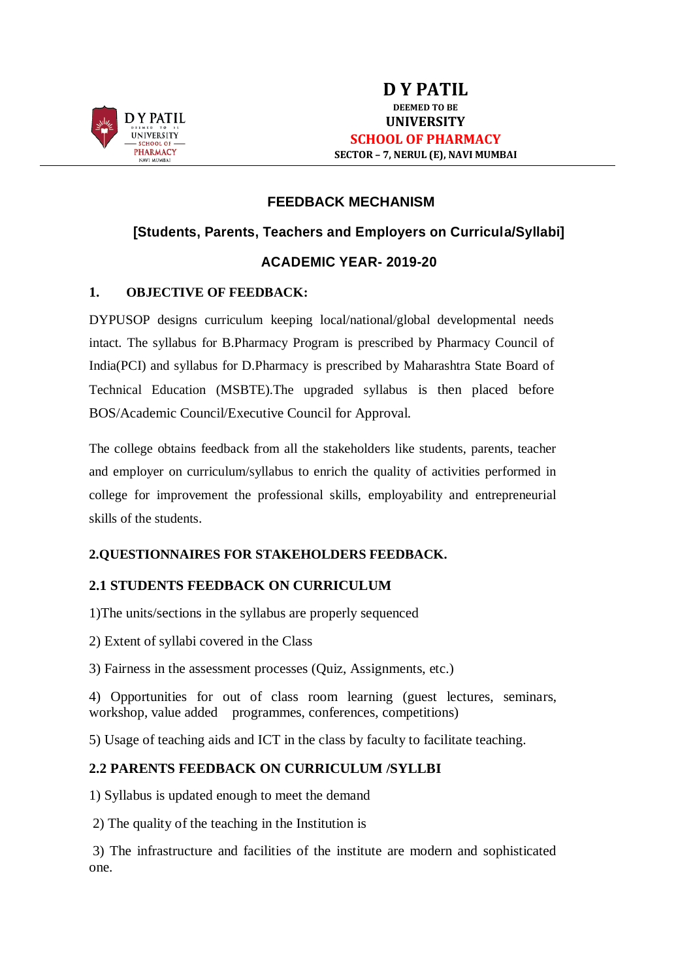

#### **FEEDBACK MECHANISM**

# **[Students, Parents, Teachers and Employers on Curricula/Syllabi]**

#### **ACADEMIC YEAR- 2019-20**

#### **1. OBJECTIVE OF FEEDBACK:**

DYPUSOP designs curriculum keeping local/national/global developmental needs intact. The syllabus for B.Pharmacy Program is prescribed by Pharmacy Council of India(PCI) and syllabus for D.Pharmacy is prescribed by Maharashtra State Board of Technical Education (MSBTE).The upgraded syllabus is then placed before BOS/Academic Council/Executive Council for Approval.

The college obtains feedback from all the stakeholders like students, parents, teacher and employer on curriculum/syllabus to enrich the quality of activities performed in college for improvement the professional skills, employability and entrepreneurial skills of the students.

#### **2.QUESTIONNAIRES FOR STAKEHOLDERS FEEDBACK.**

#### **2.1 STUDENTS FEEDBACK ON CURRICULUM**

1)The units/sections in the syllabus are properly sequenced

2) Extent of syllabi covered in the Class

3) Fairness in the assessment processes (Quiz, Assignments, etc.)

4) Opportunities for out of class room learning (guest lectures, seminars, workshop, value added programmes, conferences, competitions)

5) Usage of teaching aids and ICT in the class by faculty to facilitate teaching.

#### **2.2 PARENTS FEEDBACK ON CURRICULUM /SYLLBI**

1) Syllabus is updated enough to meet the demand

2) The quality of the teaching in the Institution is

3) The infrastructure and facilities of the institute are modern and sophisticated one.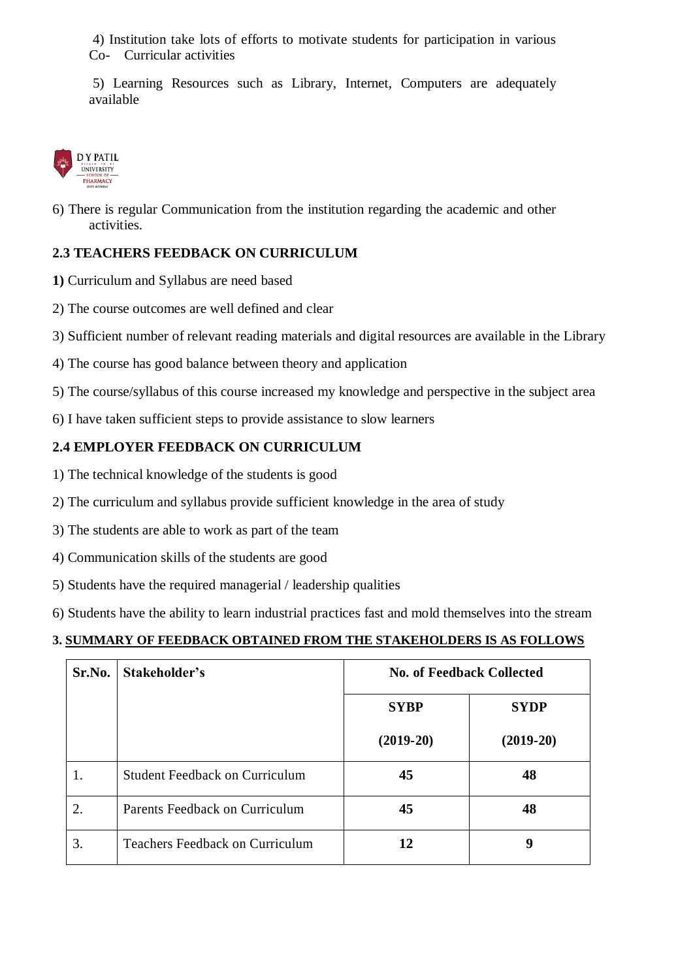4) Institution take lots of efforts to motivate students for participation in various Co- Curricular activities

5) Learning Resources such as Library, Internet, Computers are adequately available



6) There is regular Communication from the institution regarding the academic and other activities.

# **2.3 TEACHERS FEEDBACK ON CURRICULUM**

- **1)** Curriculum and Syllabus are need based
- 2) The course outcomes are well defined and clear
- 3) Sufficient number of relevant reading materials and digital resources are available in the Library
- 4) The course has good balance between theory and application
- 5) The course/syllabus of this course increased my knowledge and perspective in the subject area
- 6) I have taken sufficient steps to provide assistance to slow learners

#### **2.4 EMPLOYER FEEDBACK ON CURRICULUM**

- 1) The technical knowledge of the students is good
- 2) The curriculum and syllabus provide sufficient knowledge in the area of study
- 3) The students are able to work as part of the team
- 4) Communication skills of the students are good
- 5) Students have the required managerial / leadership qualities
- 6) Students have the ability to learn industrial practices fast and mold themselves into the stream

#### **3. SUMMARY OF FEEDBACK OBTAINED FROM THE STAKEHOLDERS IS AS FOLLOWS**

| Sr.No. | Stakeholder's                         | <b>No. of Feedback Collected</b> |             |
|--------|---------------------------------------|----------------------------------|-------------|
|        |                                       | <b>SYBP</b>                      | <b>SYDP</b> |
|        |                                       | $(2019-20)$                      | $(2019-20)$ |
|        | <b>Student Feedback on Curriculum</b> | 45                               | 48          |
| 2.     | Parents Feedback on Curriculum        | 45                               | 48          |
| 3.     | Teachers Feedback on Curriculum       | 12                               | 9           |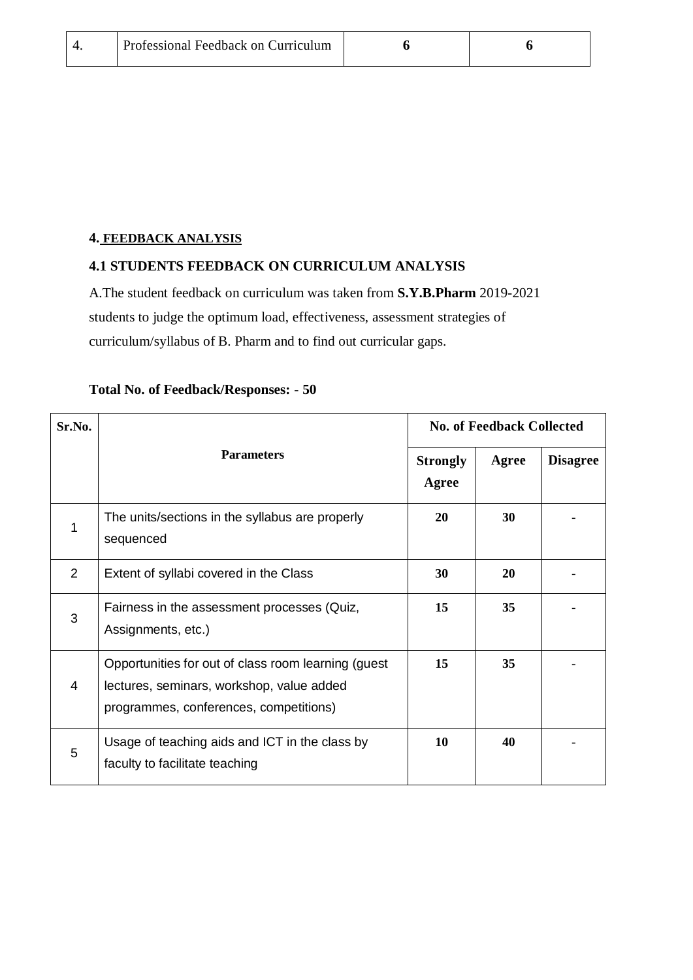|  | Professional Feedback on Curriculum |  |  |
|--|-------------------------------------|--|--|
|--|-------------------------------------|--|--|

# **4. FEEDBACK ANALYSIS**

#### **4.1 STUDENTS FEEDBACK ON CURRICULUM ANALYSIS**

A.The student feedback on curriculum was taken from **S.Y.B.Pharm** 2019-2021 students to judge the optimum load, effectiveness, assessment strategies of curriculum/syllabus of B. Pharm and to find out curricular gaps.

| Sr.No.         |                                                                                                                                            | <b>No. of Feedback Collected</b> |       |                 |
|----------------|--------------------------------------------------------------------------------------------------------------------------------------------|----------------------------------|-------|-----------------|
|                | <b>Parameters</b>                                                                                                                          | <b>Strongly</b><br>Agree         | Agree | <b>Disagree</b> |
| 1              | The units/sections in the syllabus are properly<br>sequenced                                                                               | 20                               | 30    |                 |
| 2              | Extent of syllabi covered in the Class                                                                                                     | 30                               | 20    |                 |
| 3              | Fairness in the assessment processes (Quiz,<br>Assignments, etc.)                                                                          | 15                               | 35    |                 |
| $\overline{4}$ | Opportunities for out of class room learning (guest<br>lectures, seminars, workshop, value added<br>programmes, conferences, competitions) | 15                               | 35    |                 |
| 5              | Usage of teaching aids and ICT in the class by<br>faculty to facilitate teaching                                                           | 10                               | 40    |                 |

# **Total No. of Feedback/Responses:** - **50**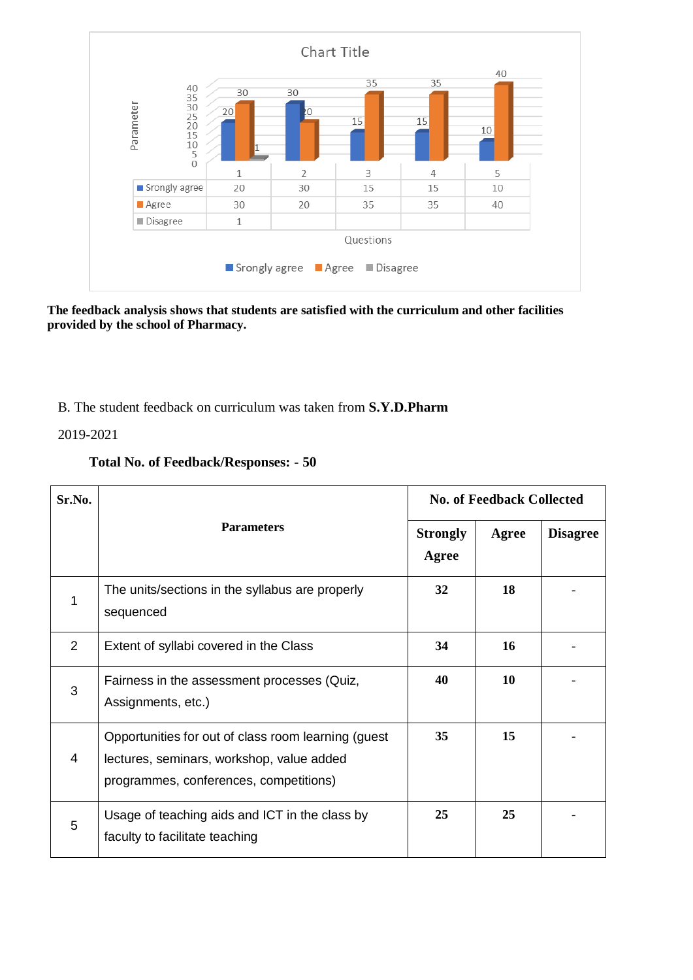

**The feedback analysis shows that students are satisfied with the curriculum and other facilities provided by the school of Pharmacy.** 

# B. The student feedback on curriculum was taken from **S.Y.D.Pharm**

2019-2021

| <b>Total No. of Feedback/Responses: - 50</b> |  |
|----------------------------------------------|--|
|                                              |  |

| Sr.No.         |                                                                                                                                            | <b>No. of Feedback Collected</b> |       |                 |
|----------------|--------------------------------------------------------------------------------------------------------------------------------------------|----------------------------------|-------|-----------------|
|                | <b>Parameters</b>                                                                                                                          | <b>Strongly</b><br>Agree         | Agree | <b>Disagree</b> |
| 1              | The units/sections in the syllabus are properly<br>sequenced                                                                               | 32                               | 18    |                 |
| 2              | Extent of syllabi covered in the Class                                                                                                     | 34                               | 16    |                 |
| 3              | Fairness in the assessment processes (Quiz,<br>Assignments, etc.)                                                                          | 40                               | 10    |                 |
| $\overline{4}$ | Opportunities for out of class room learning (guest<br>lectures, seminars, workshop, value added<br>programmes, conferences, competitions) | 35                               | 15    |                 |
| 5              | Usage of teaching aids and ICT in the class by<br>faculty to facilitate teaching                                                           | 25                               | 25    |                 |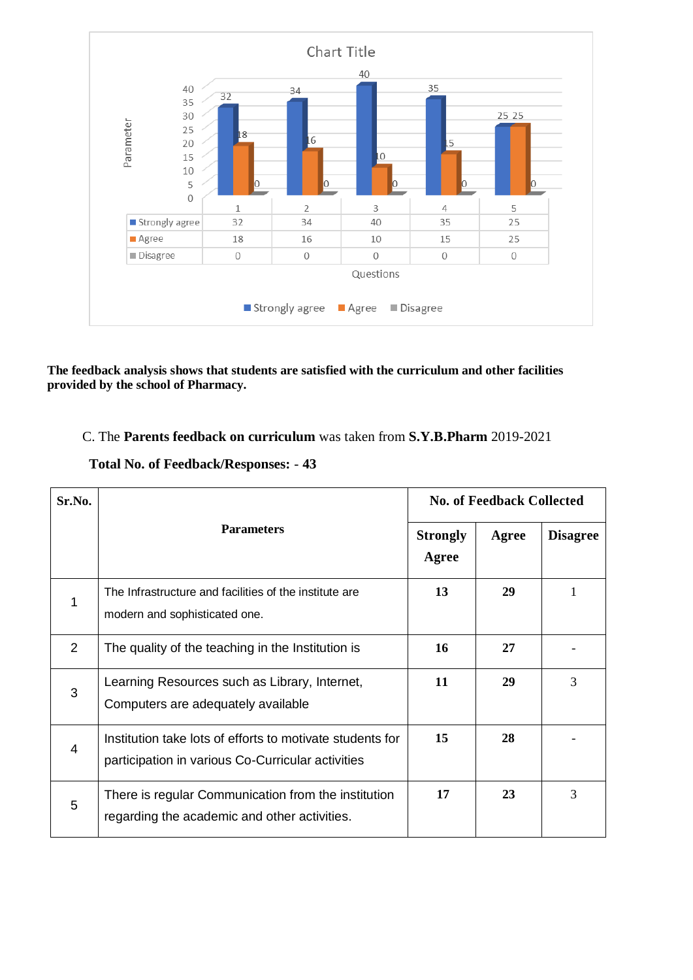

**The feedback analysis shows that students are satisfied with the curriculum and other facilities provided by the school of Pharmacy.** 

# C. The **Parents feedback on curriculum** was taken from **S.Y.B.Pharm** 2019-2021

| Sr.No.         |                                                                                                                | <b>No. of Feedback Collected</b> |       |                 |
|----------------|----------------------------------------------------------------------------------------------------------------|----------------------------------|-------|-----------------|
|                | <b>Parameters</b>                                                                                              | <b>Strongly</b><br>Agree         | Agree | <b>Disagree</b> |
| 1              | The Infrastructure and facilities of the institute are<br>modern and sophisticated one.                        | 13                               | 29    | 1               |
| 2              | The quality of the teaching in the Institution is                                                              | 16                               | 27    |                 |
| 3              | Learning Resources such as Library, Internet,<br>Computers are adequately available                            | 11                               | 29    | 3               |
| $\overline{4}$ | Institution take lots of efforts to motivate students for<br>participation in various Co-Curricular activities | 15                               | 28    |                 |
| 5              | There is regular Communication from the institution<br>regarding the academic and other activities.            | 17                               | 23    | 3               |

#### **Total No. of Feedback/Responses:** - **43**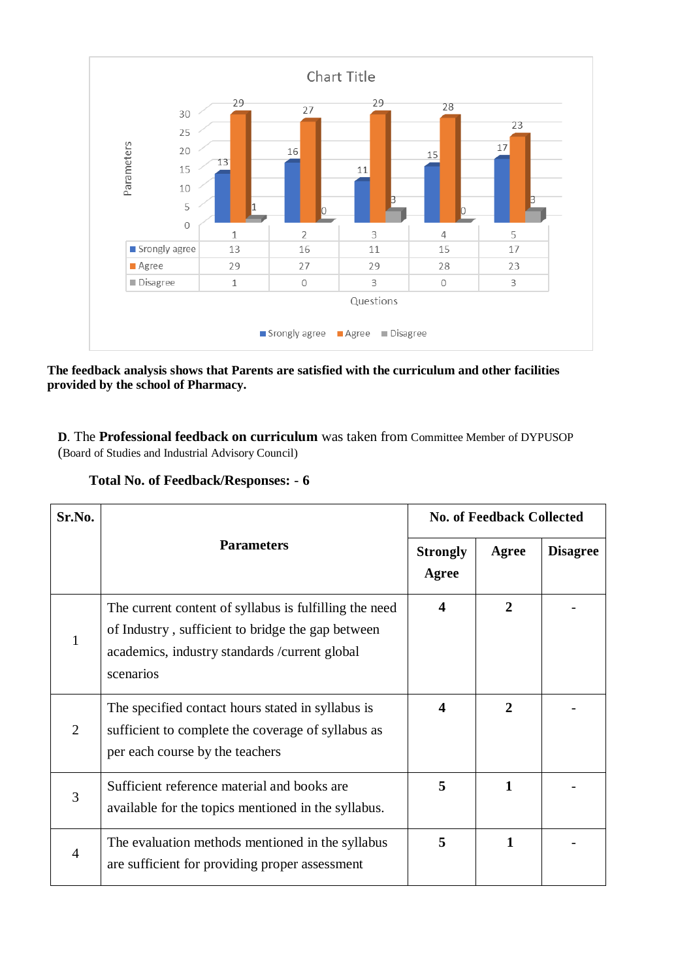

**The feedback analysis shows that Parents are satisfied with the curriculum and other facilities provided by the school of Pharmacy.** 

**D**. The **Professional feedback on curriculum** was taken from Committee Member of DYPUSOP (Board of Studies and Industrial Advisory Council)

| Sr.No.         |                                                                                                                                                                            | <b>No. of Feedback Collected</b> |                |                 |
|----------------|----------------------------------------------------------------------------------------------------------------------------------------------------------------------------|----------------------------------|----------------|-----------------|
|                | <b>Parameters</b>                                                                                                                                                          | <b>Strongly</b><br>Agree         | Agree          | <b>Disagree</b> |
|                | The current content of syllabus is fulfilling the need<br>of Industry, sufficient to bridge the gap between<br>academics, industry standards / current global<br>scenarios | $\boldsymbol{4}$                 | 2              |                 |
| $\overline{2}$ | The specified contact hours stated in syllabus is<br>sufficient to complete the coverage of syllabus as<br>per each course by the teachers                                 | $\boldsymbol{4}$                 | $\overline{2}$ |                 |
| 3              | Sufficient reference material and books are<br>available for the topics mentioned in the syllabus.                                                                         | 5                                | 1              |                 |
| 4              | The evaluation methods mentioned in the syllabus<br>are sufficient for providing proper assessment                                                                         | 5                                | 1              |                 |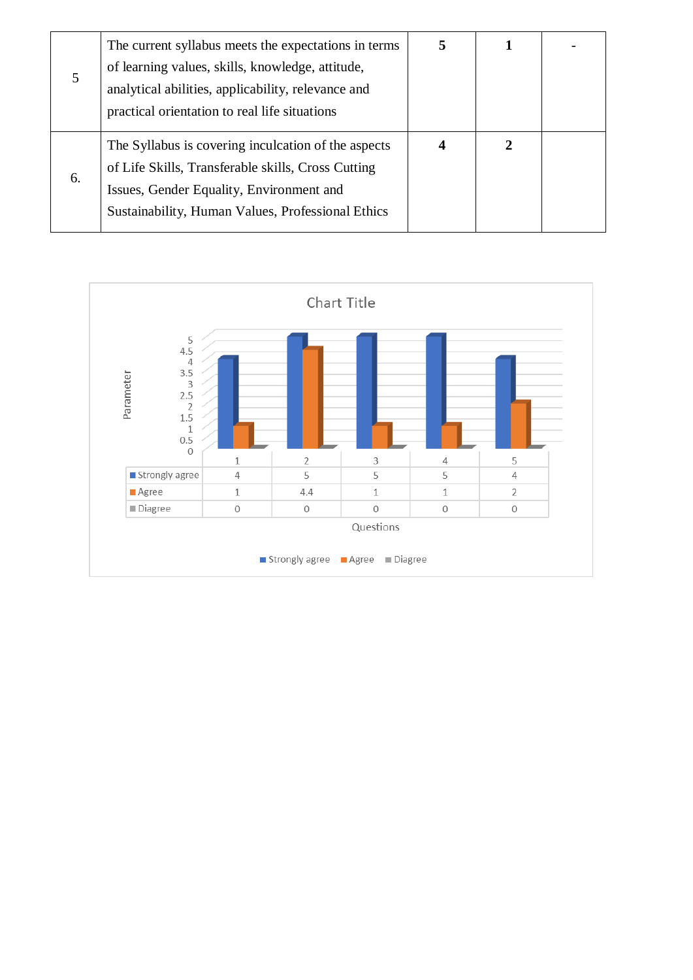|    | The current syllabus meets the expectations in terms | 5 |   |  |
|----|------------------------------------------------------|---|---|--|
|    | of learning values, skills, knowledge, attitude,     |   |   |  |
| 5  | analytical abilities, applicability, relevance and   |   |   |  |
|    | practical orientation to real life situations        |   |   |  |
|    |                                                      |   |   |  |
|    | The Syllabus is covering inculcation of the aspects  | 4 | 2 |  |
| 6. | of Life Skills, Transferable skills, Cross Cutting   |   |   |  |
|    | Issues, Gender Equality, Environment and             |   |   |  |
|    | Sustainability, Human Values, Professional Ethics    |   |   |  |
|    |                                                      |   |   |  |